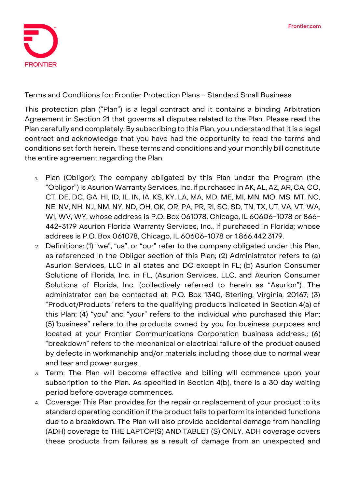

**Terms and Conditions for: Frontier Protection Plans - Standard Small Business**

This protection plan ("Plan") is a legal contract and it contains a binding Arbitration Agreement in Section 21 that governs all disputes related to the Plan. Please read the Plan carefully and completely. By subscribing to this Plan, you understand that it is a legal contract and acknowledge that you have had the opportunity to read the terms and conditions set forth herein. These terms and conditions and your monthly bill constitute the entire agreement regarding the Plan.

- 1. **Plan (Obligor):** The company obligated by this Plan under the Program (the "Obligor") is Asurion Warranty Services, Inc. if purchased in AK, AL, AZ, AR, CA, CO, CT, DE, DC, GA, HI, ID, IL, IN, IA, KS, KY, LA, MA, MD, ME, MI, MN, MO, MS, MT, NC, NE, NV, NH, NJ, NM, NY, ND, OH, OK, OR, PA, PR, RI, SC, SD, TN, TX, UT, VA, VT, WA, WI, WV, WY; whose address is P.O. Box 061078, Chicago, IL 60606-1078 or 866- 442-3179 Asurion Florida Warranty Services, Inc., if purchased in Florida; whose address is P.O. Box 061078, Chicago, IL 60606-1078 or 1.866.442.3179.
- 2. **Definitions:** (1) "we", "us", or "our" refer to the company obligated under this Plan, as referenced in the Obligor section of this Plan; (2) Administrator refers to (a) Asurion Services, LLC in all states and DC except in FL; (b) Asurion Consumer Solutions of Florida, Inc. in FL, (Asurion Services, LLC, and Asurion Consumer Solutions of Florida, Inc. (collectively referred to herein as "Asurion"). The administrator can be contacted at: P.O. Box 1340, Sterling, Virginia, 20167; (3) "Product/Products" refers to the qualifying products indicated in Section 4(a) of this Plan; (4) "you" and "your" refers to the individual who purchased this Plan; (5)"business" refers to the products owned by you for business purposes and located at your Frontier Communications Corporation business address.; (6) "breakdown" refers to the mechanical or electrical failure of the product caused by defects in workmanship and/or materials including those due to normal wear and tear and power surges.
- 3. **Term:** The Plan will become effective and billing will commence upon your subscription to the Plan. **As specified in Section 4(b), there is a 30 day waiting period before coverage commences.**
- 4. **Coverage:** This Plan provides for the repair or replacement of your product to its standard operating condition if the product fails to perform its intended functions due to a breakdown. The Plan will also provide accidental damage from handling (ADH) coverage to **THE LAPTOP(S) AND TABLET (S) ONLY**. ADH coverage covers these products from failures as a result of damage from an unexpected and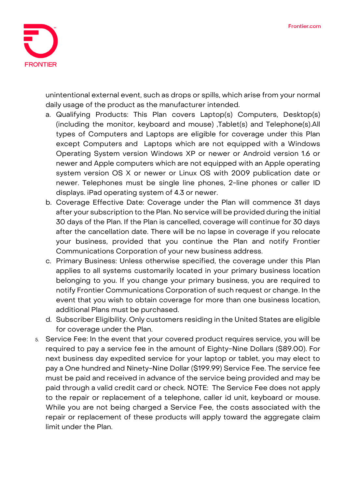

unintentional external event, such as drops or spills, which arise from your normal daily usage of the product as the manufacturer intended.

- a. Qualifying Products: This Plan covers Laptop(s) Computers, Desktop(s) (including the monitor, keyboard and mouse) ,Tablet(s) and Telephone(s).All types of Computers and Laptops are eligible for coverage under this Plan except Computers and Laptops which are not equipped with a Windows Operating System version Windows XP or newer or Android version 1.6 or newer and Apple computers which are not equipped with an Apple operating system version OS X or newer or Linux OS with 2009 publication date or newer. Telephones must be single line phones, 2-line phones or caller ID displays. iPad operating system of 4.3 or newer.
- b. Coverage Effective Date: **Coverage under the Plan will commence 31 days after your subscription to the Plan. No service will be provided during the initial 30 days of the Plan. If the Plan is cancelled, coverage will continue for 30 days after the cancellation date.** There will be no lapse in coverage if you relocate your business, provided that you continue the Plan and notify Frontier Communications Corporation of your new business address.
- c. Primary Business: Unless otherwise specified, the coverage under this Plan applies to all systems customarily located in your primary business location belonging to you. If you change your primary business, you are required to notify Frontier Communications Corporation of such request or change. In the event that you wish to obtain coverage for more than one business location, additional Plans must be purchased.
- d. Subscriber Eligibility. Only customers residing in the United States are eligible for coverage under the Plan.
- 5. **Service Fee:** In the event that your covered product requires service, you will be required to pay a service fee in the amount of Eighty-Nine Dollars (\$89.00). For next business day expedited service for your laptop or tablet, you may elect to pay a One hundred and Ninety-Nine Dollar (\$199.99) Service Fee. The service fee must be paid and received in advance of the service being provided and may be paid through a valid credit card or check. NOTE: The Service Fee does not apply to the repair or replacement of a telephone, caller id unit, keyboard or mouse. While you are not being charged a Service Fee, the costs associated with the repair or replacement of these products will apply toward the aggregate claim limit under the Plan.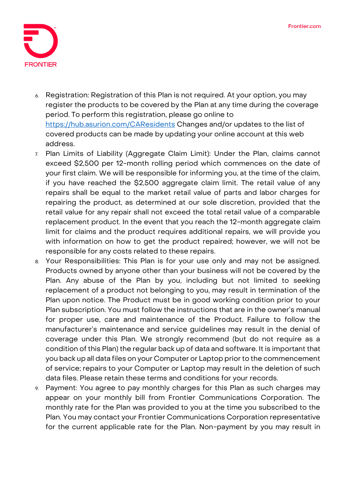

- 6. **Registration:** Registration of this Plan is not required. At your option, you may register the products to be covered by the Plan at any time during the coverage period. To perform this registration, please go online to <https://hub.asurion.com/CAResidents> Changes and/or updates to the list of covered products can be made by updating your online account at this web address.
- 7. **Plan Limits of Liability (Aggregate Claim Limit):** Under the Plan, claims cannot exceed \$2,500 per 12-month rolling period which commences on the date of your first claim. We will be responsible for informing you, at the time of the claim, if you have reached the \$2,500 aggregate claim limit. The retail value of any repairs shall be equal to the market retail value of parts and labor charges for repairing the product, as determined at our sole discretion, provided that the retail value for any repair shall not exceed the total retail value of a comparable replacement product. In the event that you reach the 12-month aggregate claim limit for claims and the product requires additional repairs, we will provide you with information on how to get the product repaired; however, we will not be responsible for any costs related to these repairs.
- 8. **Your Responsibilities:** This Plan is for your use only and may not be assigned. Products owned by anyone other than your business will not be covered by the Plan. Any abuse of the Plan by you, including but not limited to seeking replacement of a product not belonging to you, may result in termination of the Plan upon notice. The Product must be in good working condition prior to your Plan subscription. You must follow the instructions that are in the owner's manual for proper use, care and maintenance of the Product. Failure to follow the manufacturer's maintenance and service guidelines may result in the denial of coverage under this Plan. We strongly recommend (but do not require as a condition of this Plan) the regular back up of data and software. It is important that you back up all data files on your Computer or Laptop prior to the commencement of service; repairs to your Computer or Laptop may result in the deletion of such data files. Please retain these terms and conditions for your records.
- 9. **Payment:** You agree to pay monthly charges for this Plan as such charges may appear on your monthly bill from Frontier Communications Corporation. The monthly rate for the Plan was provided to you at the time you subscribed to the Plan. You may contact your Frontier Communications Corporation representative for the current applicable rate for the Plan. Non-payment by you may result in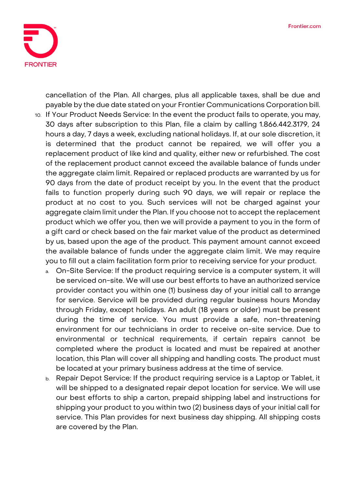

cancellation of the Plan. All charges, plus all applicable taxes, shall be due and payable by the due date stated on your Frontier Communications Corporation bill.

- 10. **If Your Product Needs Service:** In the event the product fails to operate, you may, 30 days after subscription to this Plan, file a claim by calling 1.866.442.3179, 24 hours a day, 7 days a week, excluding national holidays. If, at our sole discretion, it is determined that the product cannot be repaired, we will offer you a replacement product of like kind and quality, either new or refurbished. The cost of the replacement product cannot exceed the available balance of funds under the aggregate claim limit. Repaired or replaced products are warranted by us for 90 days from the date of product receipt by you. In the event that the product fails to function properly during such 90 days, we will repair or replace the product at no cost to you. Such services will not be charged against your aggregate claim limit under the Plan. If you choose not to accept the replacement product which we offer you, then we will provide a payment to you in the form of a gift card or check based on the fair market value of the product as determined by us, based upon the age of the product. This payment amount cannot exceed the available balance of funds under the aggregate claim limit. We may require you to fill out a claim facilitation form prior to receiving service for your product.
	- a. On-Site Service: If the product requiring service is a computer system, it will be serviced on-site. We will use our best efforts to have an authorized service provider contact you within one (1) business day of your initial call to arrange for service. Service will be provided during regular business hours Monday through Friday, except holidays. An adult (18 years or older) must be present during the time of service. You must provide a safe, non-threatening environment for our technicians in order to receive on-site service. Due to environmental or technical requirements, if certain repairs cannot be completed where the product is located and must be repaired at another location, this Plan will cover all shipping and handling costs. The product must be located at your primary business address at the time of service.
	- b. Repair Depot Service: If the product requiring service is a Laptop or Tablet, it will be shipped to a designated repair depot location for service. We will use our best efforts to ship a carton, prepaid shipping label and instructions for shipping your product to you within two (2) business days of your initial call for service. This Plan provides for next business day shipping. All shipping costs are covered by the Plan.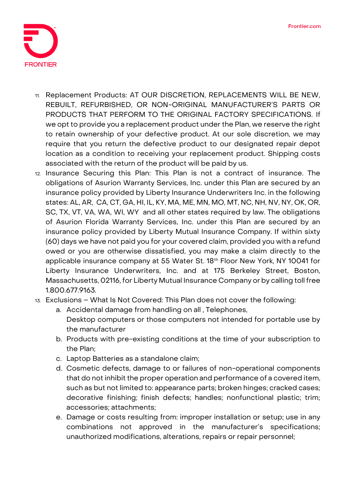

- 11. **Replacement Products: AT OUR DISCRETION, REPLACEMENTS WILL BE NEW, REBUILT, REFURBISHED, OR NON-ORIGINAL MANUFACTURER'S PARTS OR PRODUCTS THAT PERFORM TO THE ORIGINAL FACTORY SPECIFICATIONS.** If we opt to provide you a replacement product under the Plan, we reserve the right to retain ownership of your defective product. At our sole discretion, we may require that you return the defective product to our designated repair depot location as a condition to receiving your replacement product. Shipping costs associated with the return of the product will be paid by us.
- 12. **Insurance Securing this Plan:** This Plan is not a contract of insurance. The obligations of Asurion Warranty Services, Inc. under this Plan are secured by an insurance policy provided by Liberty Insurance Underwriters Inc. in the following states: AL, AR, CA, CT, GA, HI, IL, KY, MA, ME, MN, MO, MT, NC, NH, NV, NY, OK, OR, SC, TX, VT, VA, WA, WI, WY and all other states required by law. The obligations of Asurion Florida Warranty Services, Inc. under this Plan are secured by an insurance policy provided by Liberty Mutual Insurance Company. If within sixty (60) days we have not paid you for your covered claim, provided you with a refund owed or you are otherwise dissatisfied, you may make a claim directly to the applicable insurance company at 55 Water St. 18<sup>th</sup> Floor New York, NY 10041 for Liberty Insurance Underwriters, Inc. and at 175 Berkeley Street, Boston, Massachusetts, 02116, for Liberty Mutual Insurance Company or by calling toll free 1.800.677.9163.
- 13. **Exclusions – What Is Not Covered:** This Plan does not cover the following:
	- a. Accidental damage from handling on all , Telephones, Desktop computers or those computers not intended for portable use by the manufacturer
	- b. Products with pre-existing conditions at the time of your subscription to the Plan;
	- c. Laptop Batteries as a standalone claim;
	- d. Cosmetic defects, damage to or failures of non-operational components that do not inhibit the proper operation and performance of a covered item, such as but not limited to: appearance parts; broken hinges; cracked cases; decorative finishing; finish defects; handles; nonfunctional plastic; trim; accessories; attachments;
	- e. Damage or costs resulting from: improper installation or setup; use in any combinations not approved in the manufacturer's specifications; unauthorized modifications, alterations, repairs or repair personnel;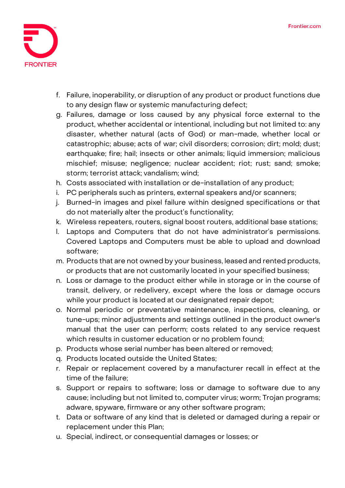

- f. Failure, inoperability, or disruption of any product or product functions due to any design flaw or systemic manufacturing defect;
- g. Failures, damage or loss caused by any physical force external to the product, whether accidental or intentional, including but not limited to: any disaster, whether natural (acts of God) or man-made, whether local or catastrophic; abuse; acts of war; civil disorders; corrosion; dirt; mold; dust; earthquake; fire; hail; insects or other animals; liquid immersion; malicious mischief; misuse; negligence; nuclear accident; riot; rust; sand; smoke; storm; terrorist attack; vandalism; wind;
- h. Costs associated with installation or de-installation of any product;
- i. PC peripherals such as printers, external speakers and/or scanners;
- j. Burned-in images and pixel failure within designed specifications or that do not materially alter the product's functionality;
- k. Wireless repeaters, routers, signal boost routers, additional base stations;
- l. Laptops and Computers that do not have administrator's permissions. Covered Laptops and Computers must be able to upload and download software;
- m. Products that are not owned by your business, leased and rented products, or products that are not customarily located in your specified business;
- n. Loss or damage to the product either while in storage or in the course of transit, delivery, or redelivery, except where the loss or damage occurs while your product is located at our designated repair depot;
- o. Normal periodic or preventative maintenance, inspections, cleaning, or tune-ups; minor adjustments and settings outlined in the product owner's manual that the user can perform; costs related to any service request which results in customer education or no problem found;
- p. Products whose serial number has been altered or removed;
- q. Products located outside the United States;
- r. Repair or replacement covered by a manufacturer recall in effect at the time of the failure;
- s. Support or repairs to software; loss or damage to software due to any cause; including but not limited to, computer virus; worm; Trojan programs; adware, spyware, firmware or any other software program;
- t. Data or software of any kind that is deleted or damaged during a repair or replacement under this Plan;
- u. Special, indirect, or consequential damages or losses; or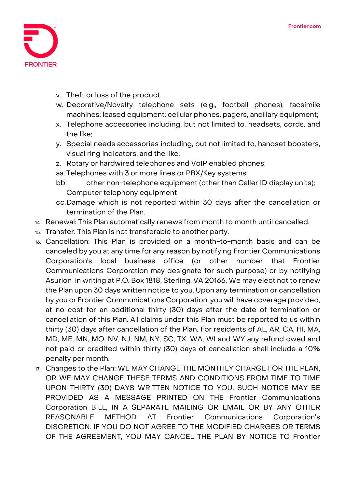

- v. Theft or loss of the product.
- w. Decorative/Novelty telephone sets (e.g., football phones); facsimile machines; leased equipment; cellular phones, pagers, ancillary equipment;
- x. Telephone accessories including, but not limited to, headsets, cords, and the like;
- y. Special needs accessories including, but not limited to, handset boosters, visual ring indicators, and the like;
- z. Rotary or hardwired telephones and VoIP enabled phones;

aa. Telephones with 3 or more lines or PBX/Key systems;

- bb. other non-telephone equipment (other than Caller ID display units); Computer telephony equipment
- cc.Damage which is not reported within 30 days after the cancellation or termination of the Plan.
- 14. **Renewal:** This Plan automatically renews from month to month until cancelled.
- 15. **Transfer:** This Plan is not transferable to another party.
- 16. **Cancellation:** This Plan is provided on a month-to-month basis and can be canceled by you at any time for any reason by notifying Frontier Communications Corporation's local business office (or other number that Frontier Communications Corporation may designate for such purpose) or by notifying Asurion in writing at P.O. Box 1818, Sterling, VA 20166. We may elect not to renew the Plan upon 30 days written notice to you. Upon any termination or cancellation by you or Frontier Communications Corporation, you will have coverage provided, at no cost for an additional thirty (30) days after the date of termination or cancellation of this Plan. All claims under this Plan must be reported to us within thirty (30) days after cancellation of the Plan. For residents of AL, AR, CA, HI, MA, MD, ME, MN, MO, NV, NJ, NM, NY, SC, TX, WA, WI and WY any refund owed and not paid or credited within thirty (30) days of cancellation shall include a 10% penalty per month.
- 17. **Changes to the Plan:** WE MAY CHANGE THE MONTHLY CHARGE FOR THE PLAN, OR WE MAY CHANGE THESE TERMS AND CONDITIONS FROM TIME TO TIME UPON THIRTY (30) DAYS WRITTEN NOTICE TO YOU. SUCH NOTICE MAY BE PROVIDED AS A MESSAGE PRINTED ON THE Frontier Communications Corporation BILL, IN A SEPARATE MAILING OR EMAIL OR BY ANY OTHER REASONABLE METHOD AT Frontier Communications Corporation's DISCRETION. IF YOU DO NOT AGREE TO THE MODIFIED CHARGES OR TERMS OF THE AGREEMENT, YOU MAY CANCEL THE PLAN BY NOTICE TO Frontier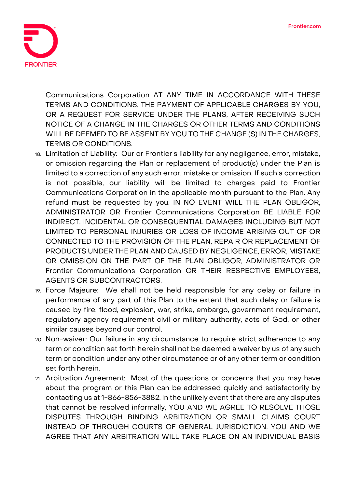

Communications Corporation AT ANY TIME IN ACCORDANCE WITH THESE TERMS AND CONDITIONS. THE PAYMENT OF APPLICABLE CHARGES BY YOU, OR A REQUEST FOR SERVICE UNDER THE PLANS, AFTER RECEIVING SUCH NOTICE OF A CHANGE IN THE CHARGES OR OTHER TERMS AND CONDITIONS WILL BE DEEMED TO BE ASSENT BY YOU TO THE CHANGE (S) IN THE CHARGES, TERMS OR CONDITIONS.

- 18. **Limitation of Liability:** Our or Frontier's liability for any negligence, error, mistake, or omission regarding the Plan or replacement of product(s) under the Plan is limited to a correction of any such error, mistake or omission. If such a correction is not possible, our liability will be limited to charges paid to Frontier Communications Corporation in the applicable month pursuant to the Plan. Any refund must be requested by you. IN NO EVENT WILL THE PLAN OBLIGOR, ADMINISTRATOR OR Frontier Communications Corporation BE LIABLE FOR INDIRECT, INCIDENTAL OR CONSEQUENTIAL DAMAGES INCLUDING BUT NOT LIMITED TO PERSONAL INJURIES OR LOSS OF INCOME ARISING OUT OF OR CONNECTED TO THE PROVISION OF THE PLAN, REPAIR OR REPLACEMENT OF PRODUCTS UNDER THE PLAN AND CAUSED BY NEGLIGENCE, ERROR, MISTAKE OR OMISSION ON THE PART OF THE PLAN OBLIGOR, ADMINISTRATOR OR Frontier Communications Corporation OR THEIR RESPECTIVE EMPLOYEES, AGENTS OR SUBCONTRACTORS.
- 19. **Force Majeure:** We shall not be held responsible for any delay or failure in performance of any part of this Plan to the extent that such delay or failure is caused by fire, flood, explosion, war, strike, embargo, government requirement, regulatory agency requirement civil or military authority, acts of God, or other similar causes beyond our control.
- 20. **Non-waiver:** Our failure in any circumstance to require strict adherence to any term or condition set forth herein shall not be deemed a waiver by us of any such term or condition under any other circumstance or of any other term or condition set forth herein.
- 21. **Arbitration Agreement:** Most of the questions or concerns that you may have about the program or this Plan can be addressed quickly and satisfactorily by contacting us at 1-866-856-3882. In the unlikely event that there are any disputes that cannot be resolved informally, **YOU AND WE AGREE TO RESOLVE THOSE DISPUTES THROUGH BINDING ARBITRATION OR SMALL CLAIMS COURT INSTEAD OF THROUGH COURTS OF GENERAL JURISDICTION. YOU AND WE AGREE THAT ANY ARBITRATION WILL TAKE PLACE ON AN INDIVIDUAL BASIS**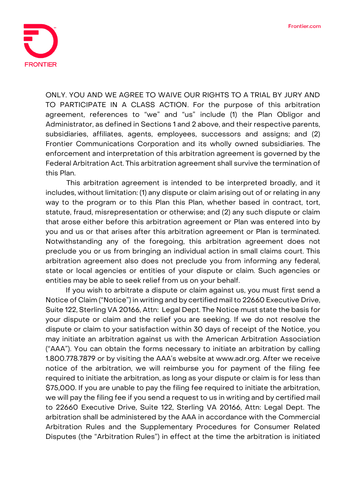

**ONLY. YOU AND WE AGREE TO WAIVE OUR RIGHTS TO A TRIAL BY JURY AND TO PARTICIPATE IN A CLASS ACTION**. For the purpose of this arbitration agreement, references to "we" and "us" include (1) the Plan Obligor and Administrator, as defined in Sections 1 and 2 above, and their respective parents, subsidiaries, affiliates, agents, employees, successors and assigns; and (2) Frontier Communications Corporation and its wholly owned subsidiaries. The enforcement and interpretation of this arbitration agreement is governed by the Federal Arbitration Act. This arbitration agreement shall survive the termination of this Plan.

This arbitration agreement is intended to be interpreted broadly, and it includes, without limitation: (1) any dispute or claim arising out of or relating in any way to the program or to this Plan this Plan, whether based in contract, tort, statute, fraud, misrepresentation or otherwise; and (2) any such dispute or claim that arose either before this arbitration agreement or Plan was entered into by you and us or that arises after this arbitration agreement or Plan is terminated. Notwithstanding any of the foregoing, this arbitration agreement does not preclude you or us from bringing an individual action in small claims court. This arbitration agreement also does not preclude you from informing any federal, state or local agencies or entities of your dispute or claim. Such agencies or entities may be able to seek relief from us on your behalf.

If you wish to arbitrate a dispute or claim against us, you must first send a Notice of Claim ("Notice") in writing and by certified mail to 22660 Executive Drive, Suite 122, Sterling VA 20166, Attn: Legal Dept. The Notice must state the basis for your dispute or claim and the relief you are seeking. If we do not resolve the dispute or claim to your satisfaction within 30 days of receipt of the Notice, you may initiate an arbitration against us with the American Arbitration Association ("AAA"). You can obtain the forms necessary to initiate an arbitration by calling 1.800.778.7879 or by visiting the AAA's website at www.adr.org. After we receive notice of the arbitration, we will reimburse you for payment of the filing fee required to initiate the arbitration, as long as your dispute or claim is for less than \$75,000. If you are unable to pay the filing fee required to initiate the arbitration, we will pay the filing fee if you send a request to us in writing and by certified mail to 22660 Executive Drive, Suite 122, Sterling VA 20166, Attn: Legal Dept. The arbitration shall be administered by the AAA in accordance with the Commercial Arbitration Rules and the Supplementary Procedures for Consumer Related Disputes (the "Arbitration Rules") in effect at the time the arbitration is initiated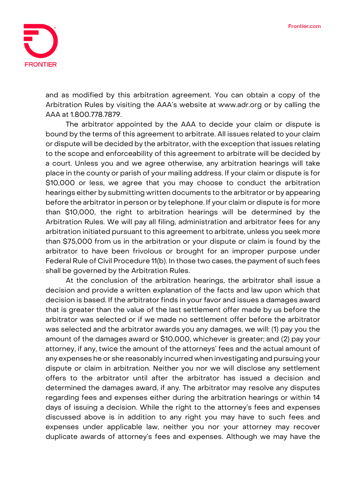

and as modified by this arbitration agreement. You can obtain a copy of the Arbitration Rules by visiting the AAA's website at www.adr.org or by calling the AAA at 1.800.778.7879.

The arbitrator appointed by the AAA to decide your claim or dispute is bound by the terms of this agreement to arbitrate. All issues related to your claim or dispute will be decided by the arbitrator, with the exception that issues relating to the scope and enforceability of this agreement to arbitrate will be decided by a court. Unless you and we agree otherwise, any arbitration hearings will take place in the county or parish of your mailing address. If your claim or dispute is for \$10,000 or less, we agree that you may choose to conduct the arbitration hearings either by submitting written documents to the arbitrator or by appearing before the arbitrator in person or by telephone. If your claim or dispute is for more than \$10,000, the right to arbitration hearings will be determined by the Arbitration Rules. We will pay all filing, administration and arbitrator fees for any arbitration initiated pursuant to this agreement to arbitrate, unless you seek more than \$75,000 from us in the arbitration or your dispute or claim is found by the arbitrator to have been frivolous or brought for an improper purpose under Federal Rule of Civil Procedure 11(b). In those two cases, the payment of such fees shall be governed by the Arbitration Rules.

At the conclusion of the arbitration hearings, the arbitrator shall issue a decision and provide a written explanation of the facts and law upon which that decision is based. If the arbitrator finds in your favor and issues a damages award that is greater than the value of the last settlement offer made by us before the arbitrator was selected or if we made no settlement offer before the arbitrator was selected and the arbitrator awards you any damages, we will: (1) pay you the amount of the damages award or \$10,000, whichever is greater; and (2) pay your attorney, if any, twice the amount of the attorneys' fees and the actual amount of any expenses he or she reasonably incurred when investigating and pursuing your dispute or claim in arbitration. Neither you nor we will disclose any settlement offers to the arbitrator until after the arbitrator has issued a decision and determined the damages award, if any. The arbitrator may resolve any disputes regarding fees and expenses either during the arbitration hearings or within 14 days of issuing a decision. While the right to the attorney's fees and expenses discussed above is in addition to any right you may have to such fees and expenses under applicable law, neither you nor your attorney may recover duplicate awards of attorney's fees and expenses. Although we may have the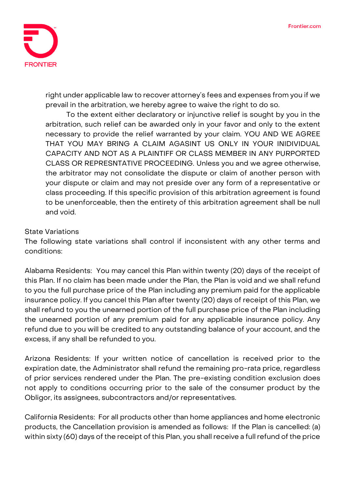

right under applicable law to recover attorney's fees and expenses from you if we prevail in the arbitration, we hereby agree to waive the right to do so.

To the extent either declaratory or injunctive relief is sought by you in the arbitration, such relief can be awarded only in your favor and only to the extent necessary to provide the relief warranted by your claim. **YOU AND WE AGREE THAT YOU MAY BRING A CLAIM AGASINT US ONLY IN YOUR INIDIVIDUAL CAPACITY AND NOT AS A PLAINTIFF OR CLASS MEMBER IN ANY PURPORTED CLASS OR REPRESNTATIVE PROCEEDING.** Unless you and we agree otherwise, the arbitrator may not consolidate the dispute or claim of another person with your dispute or claim and may not preside over any form of a representative or class proceeding. If this specific provision of this arbitration agreement is found to be unenforceable, then the entirety of this arbitration agreement shall be null and void.

## **State Variations**

The following state variations shall control if inconsistent with any other terms and conditions:

**Alabama Residents:** You may cancel this Plan within twenty (20) days of the receipt of this Plan. If no claim has been made under the Plan, the Plan is void and we shall refund to you the full purchase price of the Plan including any premium paid for the applicable insurance policy. If you cancel this Plan after twenty (20) days of receipt of this Plan, we shall refund to you the unearned portion of the full purchase price of the Plan including the unearned portion of any premium paid for any applicable insurance policy. Any refund due to you will be credited to any outstanding balance of your account, and the excess, if any shall be refunded to you.

**Arizona Residents:** If your written notice of cancellation is received prior to the expiration date, the Administrator shall refund the remaining pro-rata price, regardless of prior services rendered under the Plan. The pre-existing condition exclusion does not apply to conditions occurring prior to the sale of the consumer product by the Obligor, its assignees, subcontractors and/or representatives.

**California Residents:** For all products other than home appliances and home electronic products, the Cancellation provision is amended as follows: If the Plan is cancelled: (a) within sixty (60) days of the receipt of this Plan, you shall receive a full refund of the price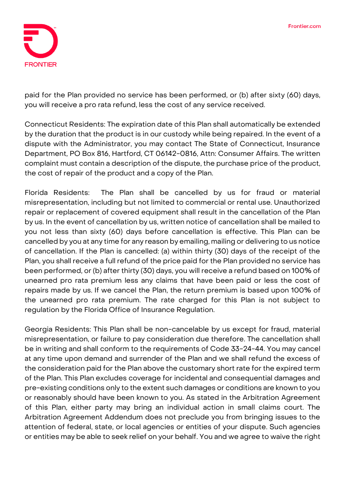

paid for the Plan provided no service has been performed, or (b) after sixty (60) days, you will receive a pro rata refund, less the cost of any service received.

**Connecticut Residents:** The expiration date of this Plan shall automatically be extended by the duration that the product is in our custody while being repaired. In the event of a dispute with the Administrator, you may contact The State of Connecticut, Insurance Department, PO Box 816, Hartford, CT 06142-0816, Attn: Consumer Affairs. The written complaint must contain a description of the dispute, the purchase price of the product, the cost of repair of the product and a copy of the Plan.

**Florida Residents:** The Plan shall be cancelled by us for fraud or material misrepresentation, including but not limited to commercial or rental use. Unauthorized repair or replacement of covered equipment shall result in the cancellation of the Plan by us. In the event of cancellation by us, written notice of cancellation shall be mailed to you not less than sixty (60) days before cancellation is effective. This Plan can be cancelled by you at any time for any reason by emailing, mailing or delivering to us notice of cancellation. If the Plan is cancelled: (a) within thirty (30) days of the receipt of the Plan, you shall receive a full refund of the price paid for the Plan provided no service has been performed, or (b) after thirty (30) days, you will receive a refund based on 100% of unearned pro rata premium less any claims that have been paid or less the cost of repairs made by us. If we cancel the Plan, the return premium is based upon 100% of the unearned pro rata premium. The rate charged for this Plan is not subject to regulation by the Florida Office of Insurance Regulation.

**Georgia Residents:** This Plan shall be non-cancelable by us except for fraud, material misrepresentation, or failure to pay consideration due therefore. The cancellation shall be in writing and shall conform to the requirements of Code 33-24-44. You may cancel at any time upon demand and surrender of the Plan and we shall refund the excess of the consideration paid for the Plan above the customary short rate for the expired term of the Plan. This Plan excludes coverage for incidental and consequential damages and pre-existing conditions only to the extent such damages or conditions are known to you or reasonably should have been known to you. As stated in the Arbitration Agreement of this Plan, either party may bring an individual action in small claims court. The Arbitration Agreement Addendum does not preclude you from bringing issues to the attention of federal, state, or local agencies or entities of your dispute. Such agencies or entities may be able to seek relief on your behalf. You and we agree to waive the right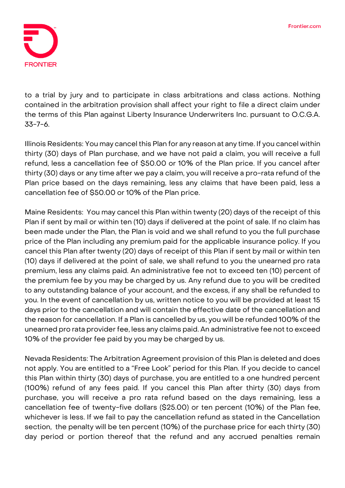

to a trial by jury and to participate in class arbitrations and class actions. Nothing contained in the arbitration provision shall affect your right to file a direct claim under the terms of this Plan against Liberty Insurance Underwriters Inc. pursuant to O.C.G.A. 33-7-6.

**Illinois Residents:** You may cancel this Plan for any reason at any time. If you cancel within thirty (30) days of Plan purchase, and we have not paid a claim, you will receive a full refund, less a cancellation fee of \$50.00 or 10% of the Plan price. If you cancel after thirty (30) days or any time after we pay a claim, you will receive a pro-rata refund of the Plan price based on the days remaining, less any claims that have been paid, less a cancellation fee of \$50.00 or 10% of the Plan price.

**Maine Residents:** You may cancel this Plan within twenty (20) days of the receipt of this Plan if sent by mail or within ten (10) days if delivered at the point of sale. If no claim has been made under the Plan, the Plan is void and we shall refund to you the full purchase price of the Plan including any premium paid for the applicable insurance policy. If you cancel this Plan after twenty (20) days of receipt of this Plan if sent by mail or within ten (10) days if delivered at the point of sale, we shall refund to you the unearned pro rata premium, less any claims paid. An administrative fee not to exceed ten (10) percent of the premium fee by you may be charged by us. Any refund due to you will be credited to any outstanding balance of your account, and the excess, if any shall be refunded to you. In the event of cancellation by us, written notice to you will be provided at least 15 days prior to the cancellation and will contain the effective date of the cancellation and the reason for cancellation. If a Plan is cancelled by us, you will be refunded 100% of the unearned pro rata provider fee, less any claims paid. An administrative fee not to exceed 10% of the provider fee paid by you may be charged by us.

**Nevada Residents:** The Arbitration Agreement provision of this Plan is deleted and does not apply. You are entitled to a "Free Look" period for this Plan. If you decide to cancel this Plan within thirty (30) days of purchase, you are entitled to a one hundred percent (100%) refund of any fees paid. If you cancel this Plan after thirty (30) days from purchase, you will receive a pro rata refund based on the days remaining, less a cancellation fee of twenty-five dollars (\$25.00) or ten percent (10%) of the Plan fee, whichever is less. If we fail to pay the cancellation refund as stated in the Cancellation section, the penalty will be ten percent (10%) of the purchase price for each thirty (30) day period or portion thereof that the refund and any accrued penalties remain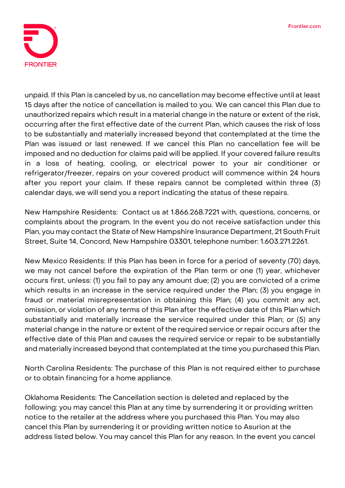

unpaid. If this Plan is canceled by us, no cancellation may become effective until at least 15 days after the notice of cancellation is mailed to you. We can cancel this Plan due to unauthorized repairs which result in a material change in the nature or extent of the risk, occurring after the first effective date of the current Plan, which causes the risk of loss to be substantially and materially increased beyond that contemplated at the time the Plan was issued or last renewed. If we cancel this Plan no cancellation fee will be imposed and no deduction for claims paid will be applied. If your covered failure results in a loss of heating, cooling, or electrical power to your air conditioner or refrigerator/freezer, repairs on your covered product will commence within 24 hours after you report your claim. If these repairs cannot be completed within three (3) calendar days, we will send you a report indicating the status of these repairs.

**New Hampshire Residents:** Contact us at 1.866.268.7221 with, questions, concerns, or complaints about the program. In the event you do not receive satisfaction under this Plan, you may contact the State of New Hampshire Insurance Department, 21 South Fruit Street, Suite 14, Concord, New Hampshire 03301, telephone number: 1.603.271.2261.

**New Mexico Residents:** If this Plan has been in force for a period of seventy (70) days, we may not cancel before the expiration of the Plan term or one (1) year, whichever occurs first, unless: (1) you fail to pay any amount due; (2) you are convicted of a crime which results in an increase in the service required under the Plan; (3) you engage in fraud or material misrepresentation in obtaining this Plan; (4) you commit any act, omission, or violation of any terms of this Plan after the effective date of this Plan which substantially and materially increase the service required under this Plan; or (5) any material change in the nature or extent of the required service or repair occurs after the effective date of this Plan and causes the required service or repair to be substantially and materially increased beyond that contemplated at the time you purchased this Plan.

**North Carolina Residents:** The purchase of this Plan is not required either to purchase or to obtain financing for a home appliance.

**Oklahoma Residents:** The Cancellation section is deleted and replaced by the following: you may cancel this Plan at any time by surrendering it or providing written notice to the retailer at the address where you purchased this Plan. You may also cancel this Plan by surrendering it or providing written notice to Asurion at the address listed below. You may cancel this Plan for any reason. In the event you cancel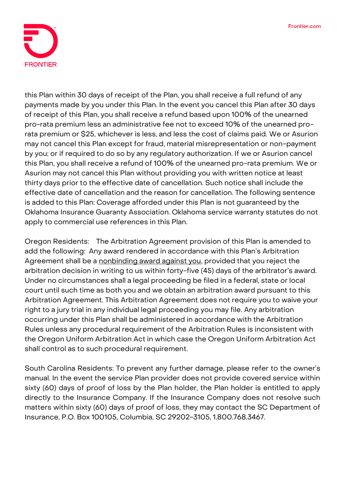

this Plan within 30 days of receipt of the Plan, you shall receive a full refund of any payments made by you under this Plan. In the event you cancel this Plan after 30 days of receipt of this Plan, you shall receive a refund based upon 100% of the unearned pro-rata premium less an administrative fee not to exceed 10% of the unearned prorata premium or \$25, whichever is less, and less the cost of claims paid. We or Asurion may not cancel this Plan except for fraud, material misrepresentation or non-payment by you; or if required to do so by any regulatory authorization. If we or Asurion cancel this Plan, you shall receive a refund of 100% of the unearned pro-rata premium. We or Asurion may not cancel this Plan without providing you with written notice at least thirty days prior to the effective date of cancellation. Such notice shall include the effective date of cancellation and the reason for cancellation. The following sentence is added to this Plan: Coverage afforded under this Plan is not guaranteed by the Oklahoma Insurance Guaranty Association. Oklahoma service warranty statutes do not apply to commercial use references in this Plan.

**Oregon Residents:** The Arbitration Agreement provision of this Plan is amended to add the following: **Any award rendered in accordance with this Plan's Arbitration Agreement shall be a nonbinding award against you,** provided that you reject the arbitration decision in writing to us within forty-five (45) days of the arbitrator's award. Under no circumstances shall a legal proceeding be filed in a federal, state or local court until such time as both you and we obtain an arbitration award pursuant to this Arbitration Agreement. This Arbitration Agreement does not require you to waive your right to a jury trial in any individual legal proceeding you may file. Any arbitration occurring under this Plan shall be administered in accordance with the Arbitration Rules unless any procedural requirement of the Arbitration Rules is inconsistent with the Oregon Uniform Arbitration Act in which case the Oregon Uniform Arbitration Act shall control as to such procedural requirement.

**South Carolina Residents:** To prevent any further damage, please refer to the owner's manual. In the event the service Plan provider does not provide covered service within sixty (60) days of proof of loss by the Plan holder, the Plan holder is entitled to apply directly to the Insurance Company. If the Insurance Company does not resolve such matters within sixty (60) days of proof of loss, they may contact the SC Department of Insurance, P.O. Box 100105, Columbia, SC 29202-3105, 1.800.768.3467.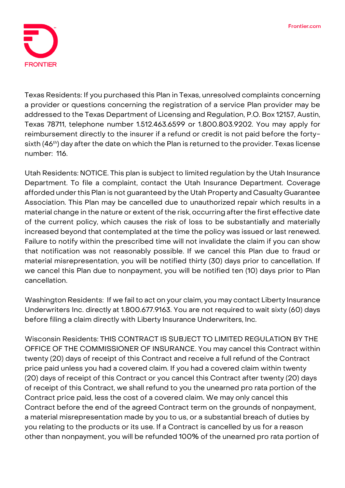

**Texas Residents:** If you purchased this Plan in Texas, unresolved complaints concerning a provider or questions concerning the registration of a service Plan provider may be addressed to the Texas Department of Licensing and Regulation, P.O. Box 12157, Austin, Texas 78711, telephone number 1.512.463.6599 or 1.800.803.9202. You may apply for reimbursement directly to the insurer if a refund or credit is not paid before the fortysixth (46<sup>th</sup>) day after the date on which the Plan is returned to the provider. Texas license number: 116.

**Utah Residents: NOTICE. This plan is subject to limited regulation by the Utah Insurance Department. To file a complaint, contact the Utah Insurance Department.** Coverage afforded under this Plan is not guaranteed by the Utah Property and Casualty Guarantee Association. This Plan may be cancelled due to unauthorized repair which results in a material change in the nature or extent of the risk, occurring after the first effective date of the current policy, which causes the risk of loss to be substantially and materially increased beyond that contemplated at the time the policy was issued or last renewed. Failure to notify within the prescribed time will not invalidate the claim if you can show that notification was not reasonably possible. If we cancel this Plan due to fraud or material misrepresentation, you will be notified thirty (30) days prior to cancellation. If we cancel this Plan due to nonpayment, you will be notified ten (10) days prior to Plan cancellation.

**Washington Residents:** If we fail to act on your claim, you may contact Liberty Insurance Underwriters Inc. directly at 1.800.677.9163. You are not required to wait sixty (60) days before filing a claim directly with Liberty Insurance Underwriters, Inc.

**Wisconsin Residents: THIS CONTRACT IS SUBJECT TO LIMITED REGULATION BY THE OFFICE OF THE COMMISSIONER OF INSURANCE**. You may cancel this Contract within twenty (20) days of receipt of this Contract and receive a full refund of the Contract price paid unless you had a covered claim. If you had a covered claim within twenty (20) days of receipt of this Contract or you cancel this Contract after twenty (20) days of receipt of this Contract, we shall refund to you the unearned pro rata portion of the Contract price paid, less the cost of a covered claim. We may only cancel this Contract before the end of the agreed Contract term on the grounds of nonpayment, a material misrepresentation made by you to us, or a substantial breach of duties by you relating to the products or its use. If a Contract is cancelled by us for a reason other than nonpayment, you will be refunded 100% of the unearned pro rata portion of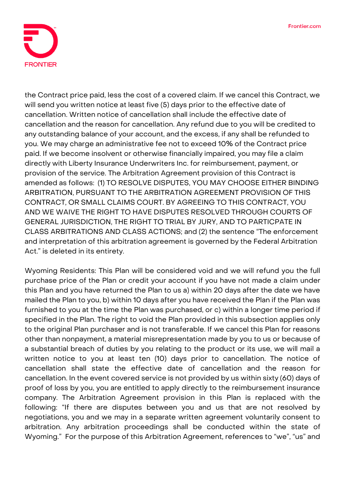

the Contract price paid, less the cost of a covered claim. If we cancel this Contract, we will send you written notice at least five (5) days prior to the effective date of cancellation. Written notice of cancellation shall include the effective date of cancellation and the reason for cancellation. Any refund due to you will be credited to any outstanding balance of your account, and the excess, if any shall be refunded to you. We may charge an administrative fee not to exceed 10% of the Contract price paid. If we become insolvent or otherwise financially impaired, you may file a claim directly with Liberty Insurance Underwriters Inc. for reimbursement, payment, or provision of the service. The Arbitration Agreement provision of this Contract is amended as follows: **(1) TO RESOLVE DISPUTES, YOU MAY CHOOSE EITHER BINDING ARBITRATION, PURSUANT TO THE ARBITRATION AGREEMENT PROVISION OF THIS CONTRACT, OR SMALL CLAIMS COURT. BY AGREEING TO THIS CONTRACT, YOU AND WE WAIVE THE RIGHT TO HAVE DISPUTES RESOLVED THROUGH COURTS OF GENERAL JURISDICTION, THE RIGHT TO TRIAL BY JURY, AND TO PARTICPATE IN CLASS ARBITRATIONS AND CLASS ACTIONS;** and **(2)** the sentence "The enforcement and interpretation of this arbitration agreement is governed by the Federal Arbitration Act." is deleted in its entirety.

**Wyoming Residents:** This Plan will be considered void and we will refund you the full purchase price of the Plan or credit your account if you have not made a claim under this Plan and you have returned the Plan to us a) within 20 days after the date we have mailed the Plan to you, b) within 10 days after you have received the Plan if the Plan was furnished to you at the time the Plan was purchased, or c) within a longer time period if specified in the Plan. The right to void the Plan provided in this subsection applies only to the original Plan purchaser and is not transferable. If we cancel this Plan for reasons other than nonpayment, a material misrepresentation made by you to us or because of a substantial breach of duties by you relating to the product or its use, we will mail a written notice to you at least ten (10) days prior to cancellation. The notice of cancellation shall state the effective date of cancellation and the reason for cancellation. In the event covered service is not provided by us within sixty (60) days of proof of loss by you, you are entitled to apply directly to the reimbursement insurance company. The Arbitration Agreement provision in this Plan is replaced with the following: "If there are disputes between you and us that are not resolved by negotiations, you and we may in a separate written agreement voluntarily consent to arbitration. Any arbitration proceedings shall be conducted within the state of Wyoming." For the purpose of this Arbitration Agreement, references to "we", "us" and